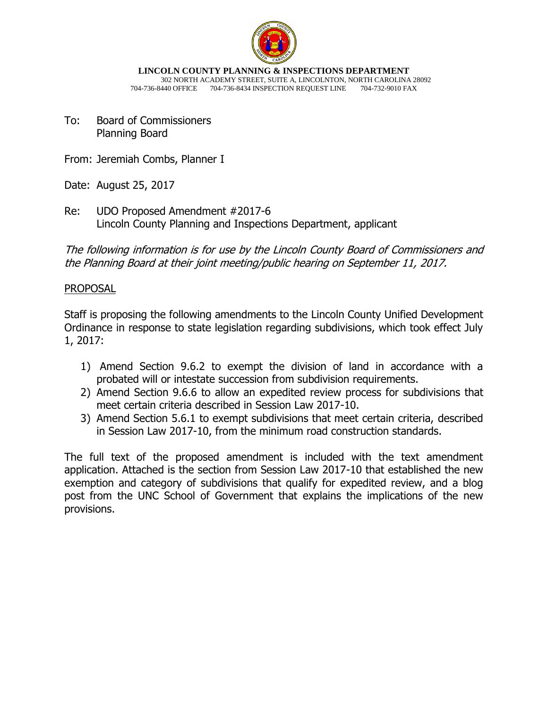

**LINCOLN COUNTY PLANNING & INSPECTIONS DEPARTMENT** 302 NORTH ACADEMY STREET, SUITE A, LINCOLNTON, NORTH CAROLINA 28092 704-736-8440 OFFICE 704-736-8434 INSPECTION REQUEST LINE 704-732-9010 FAX

To: Board of Commissioners Planning Board

From: Jeremiah Combs, Planner I

Date: August 25, 2017

Re: UDO Proposed Amendment #2017-6 Lincoln County Planning and Inspections Department, applicant

The following information is for use by the Lincoln County Board of Commissioners and the Planning Board at their joint meeting/public hearing on September 11, 2017.

## PROPOSAL

Staff is proposing the following amendments to the Lincoln County Unified Development Ordinance in response to state legislation regarding subdivisions, which took effect July 1, 2017:

- 1) Amend Section 9.6.2 to exempt the division of land in accordance with a probated will or intestate succession from subdivision requirements.
- 2) Amend Section 9.6.6 to allow an expedited review process for subdivisions that meet certain criteria described in Session Law 2017-10.
- 3) Amend Section 5.6.1 to exempt subdivisions that meet certain criteria, described in Session Law 2017-10, from the minimum road construction standards.

The full text of the proposed amendment is included with the text amendment application. Attached is the section from Session Law 2017-10 that established the new exemption and category of subdivisions that qualify for expedited review, and a blog post from the UNC School of Government that explains the implications of the new provisions.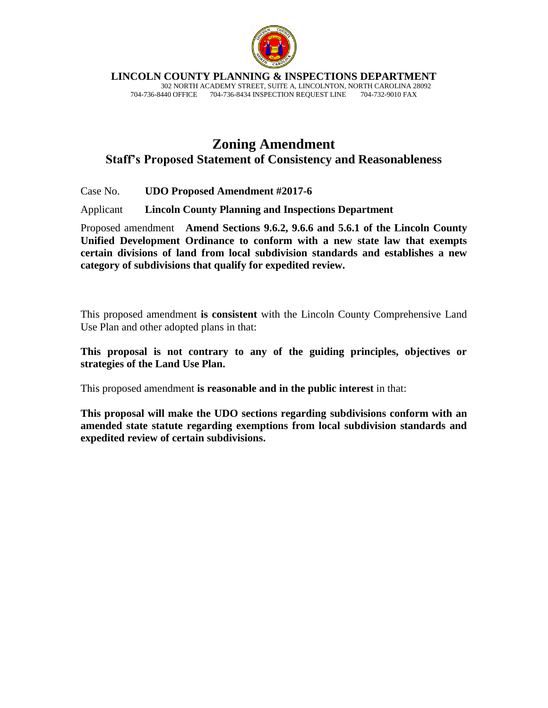

**LINCOLN COUNTY PLANNING & INSPECTIONS DEPARTMENT**

 302 NORTH ACADEMY STREET, SUITE A, LINCOLNTON, NORTH CAROLINA 28092 704-736-8440 OFFICE 704-736-8434 INSPECTION REQUEST LINE

# **Zoning Amendment Staff's Proposed Statement of Consistency and Reasonableness**

Case No. **UDO Proposed Amendment #2017-6**

Applicant **Lincoln County Planning and Inspections Department**

Proposed amendment **Amend Sections 9.6.2, 9.6.6 and 5.6.1 of the Lincoln County Unified Development Ordinance to conform with a new state law that exempts certain divisions of land from local subdivision standards and establishes a new category of subdivisions that qualify for expedited review.**

This proposed amendment **is consistent** with the Lincoln County Comprehensive Land Use Plan and other adopted plans in that:

**This proposal is not contrary to any of the guiding principles, objectives or strategies of the Land Use Plan.**

This proposed amendment **is reasonable and in the public interest** in that:

**This proposal will make the UDO sections regarding subdivisions conform with an amended state statute regarding exemptions from local subdivision standards and expedited review of certain subdivisions.**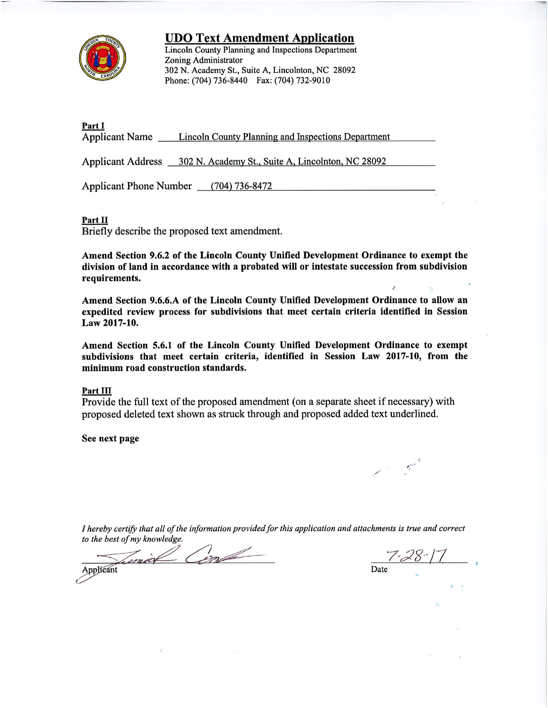

**UDO Text Amendment Application** 

**Lincoln County Planning and Inspections Department Zoning Administrator** 302 N. Academy St., Suite A, Lincolnton, NC 28092 Phone: (704) 736-8440 Fax: (704) 732-9010

Part I Applicant Name Lincoln County Planning and Inspections Department

Applicant Address 302 N. Academy St., Suite A, Lincolnton, NC 28092

Applicant Phone Number (704) 736-8472

### Part II

Briefly describe the proposed text amendment.

Amend Section 9.6.2 of the Lincoln County Unified Development Ordinance to exempt the division of land in accordance with a probated will or intestate succession from subdivision requirements.

Amend Section 9.6.6.A of the Lincoln County Unified Development Ordinance to allow an expedited review process for subdivisions that meet certain criteria identified in Session Law 2017-10.

Amend Section 5.6.1 of the Lincoln County Unified Development Ordinance to exempt subdivisions that meet certain criteria, identified in Session Law 2017-10, from the minimum road construction standards.

### Part III

Provide the full text of the proposed amendment (on a separate sheet if necessary) with proposed deleted text shown as struck through and proposed added text underlined.

See next page

I hereby certify that all of the information provided for this application and attachments is true and correct to the best of my knowledge.

m max Applicant

Date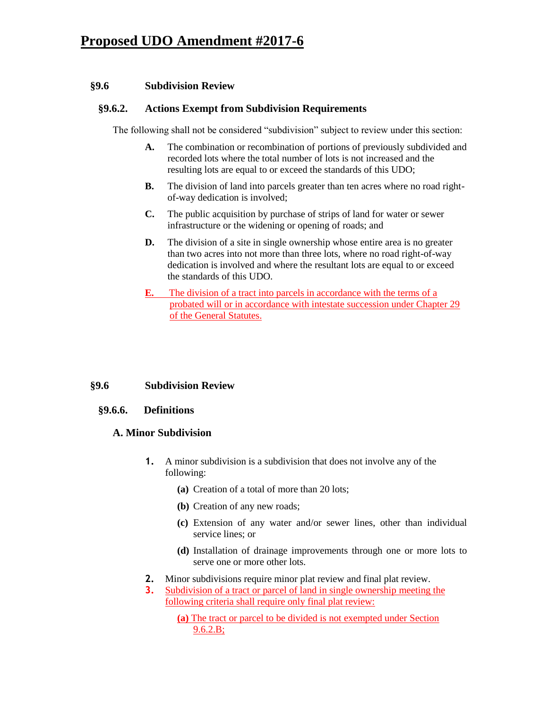## **§9.6 Subdivision Review**

## **§9.6.2. Actions Exempt from Subdivision Requirements**

The following shall not be considered "subdivision" subject to review under this section:

- **A.** The combination or recombination of portions of previously subdivided and recorded lots where the total number of lots is not increased and the resulting lots are equal to or exceed the standards of this UDO;
- **B.** The division of land into parcels greater than ten acres where no road rightof-way dedication is involved;
- **C.** The public acquisition by purchase of strips of land for water or sewer infrastructure or the widening or opening of roads; and
- **D.** The division of a site in single ownership whose entire area is no greater than two acres into not more than three lots, where no road right-of-way dedication is involved and where the resultant lots are equal to or exceed the standards of this UDO.
- **E.** The division of a tract into parcels in accordance with the terms of a probated will or in accordance with intestate succession under Chapter 29 of the General Statutes.

## **§9.6 Subdivision Review**

### **§9.6.6. Definitions**

### **A. Minor Subdivision**

- **1.** A minor subdivision is a subdivision that does not involve any of the following:
	- **(a)** Creation of a total of more than 20 lots;
	- **(b)** Creation of any new roads;
	- **(c)** Extension of any water and/or sewer lines, other than individual service lines; or
	- **(d)** Installation of drainage improvements through one or more lots to serve one or more other lots.
- **2.** Minor subdivisions require minor plat review and final plat review.
- **3.** Subdivision of a tract or parcel of land in single ownership meeting the following criteria shall require only final plat review:
	- **(a)** The tract or parcel to be divided is not exempted under Section 9.6.2.B;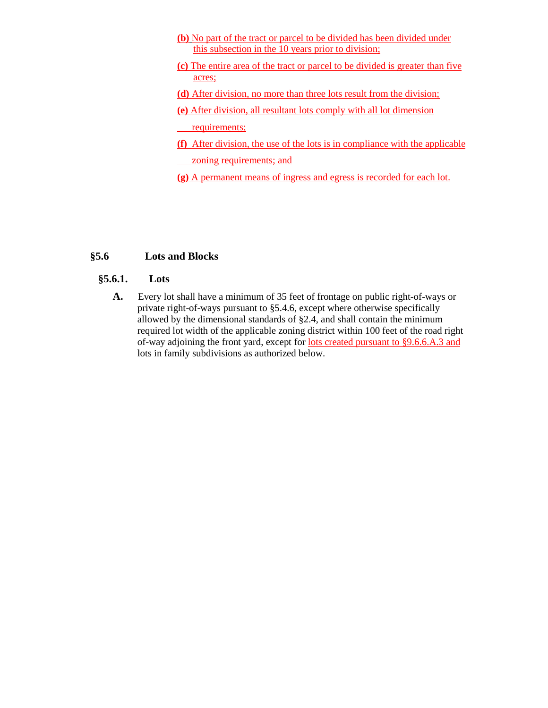- **(b)** No part of the tract or parcel to be divided has been divided under this subsection in the 10 years prior to division;
- **(c)** The entire area of the tract or parcel to be divided is greater than five acres;
- **(d)** After division, no more than three lots result from the division;
- **(e)** After division, all resultant lots comply with all lot dimension
- requirements;
- **(f)** After division, the use of the lots is in compliance with the applicable zoning requirements; and
- **(g)** A permanent means of ingress and egress is recorded for each lot.

## **§5.6 Lots and Blocks**

## **§5.6.1. Lots**

**A.** Every lot shall have a minimum of 35 feet of frontage on public right-of-ways or private right-of-ways pursuant to §5.4.6, except where otherwise specifically allowed by the dimensional standards of §2.4, and shall contain the minimum required lot width of the applicable zoning district within 100 feet of the road right of-way adjoining the front yard, except for lots created pursuant to §9.6.6.A.3 and lots in family subdivisions as authorized below.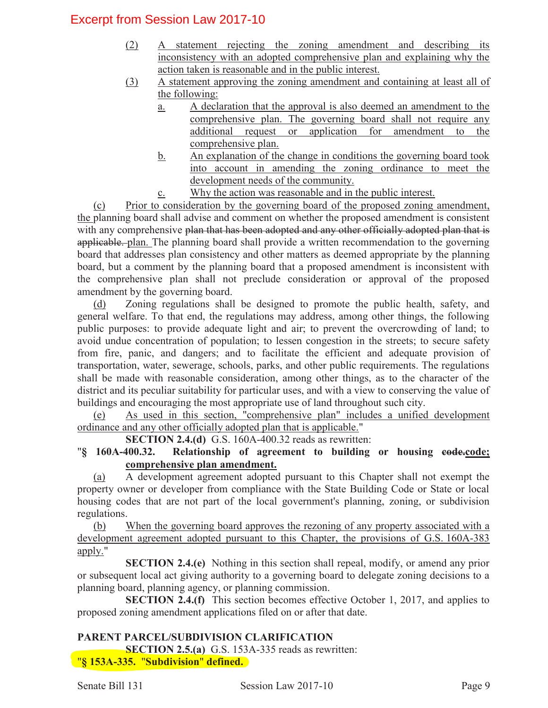# Excerpt from Session Law 2017-10

- (2) A statement rejecting the zoning amendment and describing its inconsistency with an adopted comprehensive plan and explaining why the action taken is reasonable and in the public interest.
- (3) A statement approving the zoning amendment and containing at least all of the following:
	- a. A declaration that the approval is also deemed an amendment to the comprehensive plan. The governing board shall not require any additional request or application for amendment to the comprehensive plan.
	- b. An explanation of the change in conditions the governing board took into account in amending the zoning ordinance to meet the development needs of the community.
	- c. Why the action was reasonable and in the public interest.

(c) Prior to consideration by the governing board of the proposed zoning amendment, the planning board shall advise and comment on whether the proposed amendment is consistent with any comprehensive plan that has been adopted and any other officially adopted plan that is applicable. plan. The planning board shall provide a written recommendation to the governing board that addresses plan consistency and other matters as deemed appropriate by the planning board, but a comment by the planning board that a proposed amendment is inconsistent with the comprehensive plan shall not preclude consideration or approval of the proposed amendment by the governing board.

(d) Zoning regulations shall be designed to promote the public health, safety, and general welfare. To that end, the regulations may address, among other things, the following public purposes: to provide adequate light and air; to prevent the overcrowding of land; to avoid undue concentration of population; to lessen congestion in the streets; to secure safety from fire, panic, and dangers; and to facilitate the efficient and adequate provision of transportation, water, sewerage, schools, parks, and other public requirements. The regulations shall be made with reasonable consideration, among other things, as to the character of the district and its peculiar suitability for particular uses, and with a view to conserving the value of buildings and encouraging the most appropriate use of land throughout such city.

(e) As used in this section, "comprehensive plan" includes a unified development ordinance and any other officially adopted plan that is applicable."

**SECTION 2.4.(d)** G.S. 160A-400.32 reads as rewritten:

"**§ 160A-400.32. Relationship of agreement to building or housing code.code; comprehensive plan amendment.** 

(a) A development agreement adopted pursuant to this Chapter shall not exempt the property owner or developer from compliance with the State Building Code or State or local housing codes that are not part of the local government's planning, zoning, or subdivision regulations.

(b) When the governing board approves the rezoning of any property associated with a development agreement adopted pursuant to this Chapter, the provisions of G.S. 160A-383 apply."

**SECTION 2.4.(e)** Nothing in this section shall repeal, modify, or amend any prior or subsequent local act giving authority to a governing board to delegate zoning decisions to a planning board, planning agency, or planning commission.

**SECTION 2.4.(f)** This section becomes effective October 1, 2017, and applies to proposed zoning amendment applications filed on or after that date.

## **PARENT PARCEL/SUBDIVISION CLARIFICATION**

**SECTION 2.5.(a)** G.S. 153A-335 reads as rewritten: "**§ 153A-335.** "**Subdivision**" **defined.**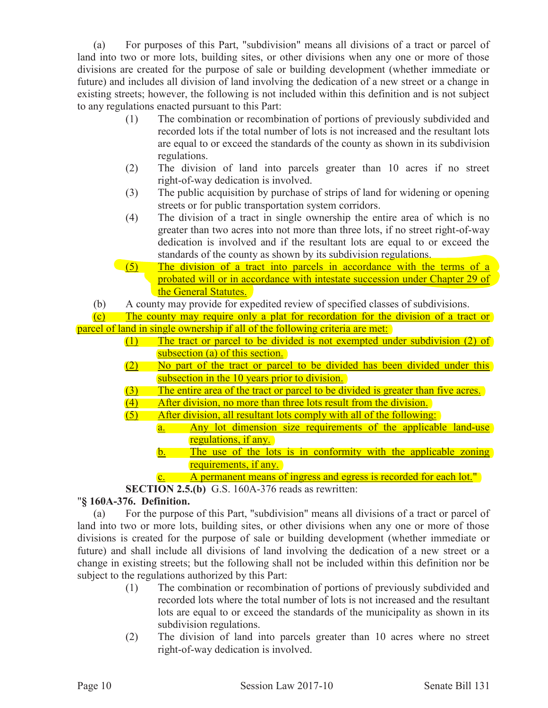(a) For purposes of this Part, "subdivision" means all divisions of a tract or parcel of land into two or more lots, building sites, or other divisions when any one or more of those divisions are created for the purpose of sale or building development (whether immediate or future) and includes all division of land involving the dedication of a new street or a change in existing streets; however, the following is not included within this definition and is not subject to any regulations enacted pursuant to this Part:

- (1) The combination or recombination of portions of previously subdivided and recorded lots if the total number of lots is not increased and the resultant lots are equal to or exceed the standards of the county as shown in its subdivision regulations.
- (2) The division of land into parcels greater than 10 acres if no street right-of-way dedication is involved.
- (3) The public acquisition by purchase of strips of land for widening or opening streets or for public transportation system corridors.
- (4) The division of a tract in single ownership the entire area of which is no greater than two acres into not more than three lots, if no street right-of-way dedication is involved and if the resultant lots are equal to or exceed the standards of the county as shown by its subdivision regulations.
- (5) The division of a tract into parcels in accordance with the terms of a probated will or in accordance with intestate succession under Chapter 29 of the General Statutes.
- (b) A county may provide for expedited review of specified classes of subdivisions.

(c) The county may require only a plat for recordation for the division of a tract or parcel of land in single ownership if all of the following criteria are met:

- (1) The tract or parcel to be divided is not exempted under subdivision (2) of subsection (a) of this section.
- (2) No part of the tract or parcel to be divided has been divided under this subsection in the 10 years prior to division.
- (3) The entire area of the tract or parcel to be divided is greater than five acres.
- (4) After division, no more than three lots result from the division.
- (5) After division, all resultant lots comply with all of the following:
	- a. Any lot dimension size requirements of the applicable land-use regulations, if any.
		- b. The use of the lots is in conformity with the applicable zoning requirements, if any.
			- A permanent means of ingress and egress is recorded for each lot."
- **SECTION 2.5.(b)** G.S. 160A-376 reads as rewritten:

## "**§ 160A-376. Definition.**

(a) For the purpose of this Part, "subdivision" means all divisions of a tract or parcel of land into two or more lots, building sites, or other divisions when any one or more of those divisions is created for the purpose of sale or building development (whether immediate or future) and shall include all divisions of land involving the dedication of a new street or a change in existing streets; but the following shall not be included within this definition nor be subject to the regulations authorized by this Part:

- (1) The combination or recombination of portions of previously subdivided and recorded lots where the total number of lots is not increased and the resultant lots are equal to or exceed the standards of the municipality as shown in its subdivision regulations.
- (2) The division of land into parcels greater than 10 acres where no street right-of-way dedication is involved.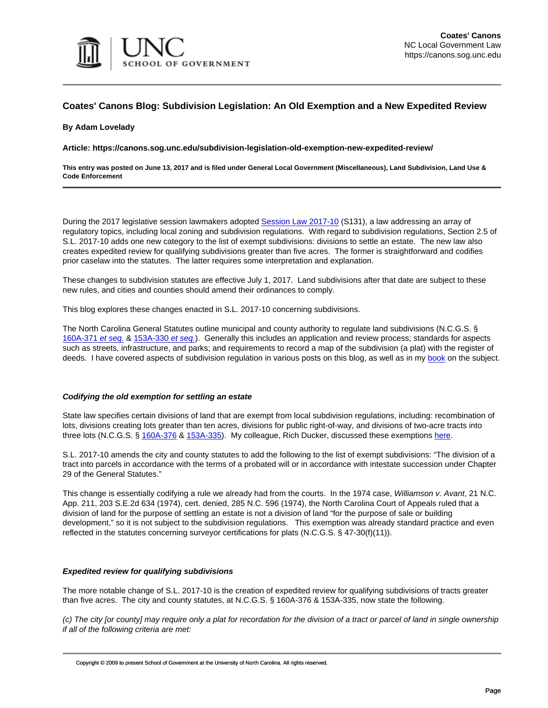

### **Coates' Canons Blog: Subdivision Legislation: An Old Exemption and a New Expedited Review**

#### **By Adam Lovelady**

**Article: https://canons.sog.unc.edu/subdivision-legislation-old-exemption-new-expedited-review/**

**This entry was posted on June 13, 2017 and is filed under General Local Government (Miscellaneous), Land Subdivision, Land Use & Code Enforcement**

During the 2017 legislative session lawmakers adopted [Session Law 2017-10](http://www.ncleg.net/gascripts/BillLookUp/BillLookUp.pl?Session=2017&BillID=s131&submitButton=Go) (S131), a law addressing an array of regulatory topics, including local zoning and subdivision regulations. With regard to subdivision regulations, Section 2.5 of S.L. 2017-10 adds one new category to the list of exempt subdivisions: divisions to settle an estate. The new law also creates expedited review for qualifying subdivisions greater than five acres. The former is straightforward and codifies prior caselaw into the statutes. The latter requires some interpretation and explanation.

These changes to subdivision statutes are effective July 1, 2017. Land subdivisions after that date are subject to these new rules, and cities and counties should amend their ordinances to comply.

This blog explores these changes enacted in S.L. 2017-10 concerning subdivisions.

The North Carolina General Statutes outline municipal and county authority to regulate land subdivisions (N.C.G.S. § [160A-371](http://www.ncleg.net/gascripts/Statutes/StatutesTOC.pl?Chapter=0160A) [et seq.](http://www.ncleg.net/gascripts/Statutes/StatutesTOC.pl?Chapter=0160A) & [153A-330](http://www.ncleg.net/gascripts/Statutes/StatutesTOC.pl?Chapter=0153A) [et seq.](http://www.ncleg.net/gascripts/Statutes/StatutesTOC.pl?Chapter=0153A)). Generally this includes an application and review process; standards for aspects such as streets, infrastructure, and parks; and requirements to record a map of the subdivision (a plat) with the register of deeds. I have covered aspects of subdivision regulation in various posts on this blog, as well as in my [book](https://www.sog.unc.edu/publications/books/land-subdivision-regulation-north-carolina) on the subject.

#### **Codifying the old exemption for settling an estate**

State law specifies certain divisions of land that are exempt from local subdivision regulations, including: recombination of lots, divisions creating lots greater than ten acres, divisions for public right-of-way, and divisions of two-acre tracts into three lots (N.C.G.S. § [160A-376](http://www.ncleg.net/EnactedLegislation/Statutes/PDF/BySection/Chapter_160A/GS_160A-376.pdf) & [153A-335\)](http://www.ncleg.net/EnactedLegislation/Statutes/PDF/BySection/Chapter_153A/GS_153A-335.pdf). My colleague, Rich Ducker, discussed these exemptions [here.](https://canons.sog.unc.edu/land-subdivision-ordinances-the-regulatory-exceptions/)

S.L. 2017-10 amends the city and county statutes to add the following to the list of exempt subdivisions: "The division of a tract into parcels in accordance with the terms of a probated will or in accordance with intestate succession under Chapter 29 of the General Statutes."

This change is essentially codifying a rule we already had from the courts. In the 1974 case, Williamson v. Avant, 21 N.C. App. 211, 203 S.E.2d 634 (1974), cert. denied, 285 N.C. 596 (1974), the North Carolina Court of Appeals ruled that a division of land for the purpose of settling an estate is not a division of land "for the purpose of sale or building development," so it is not subject to the subdivision regulations. This exemption was already standard practice and even reflected in the statutes concerning surveyor certifications for plats (N.C.G.S. § 47-30(f)(11)).

### **Expedited review for qualifying subdivisions**

The more notable change of S.L. 2017-10 is the creation of expedited review for qualifying subdivisions of tracts greater than five acres. The city and county statutes, at N.C.G.S. § 160A-376 & 153A-335, now state the following.

(c) The city [or county] may require only a plat for recordation for the division of a tract or parcel of land in single ownership if all of the following criteria are met: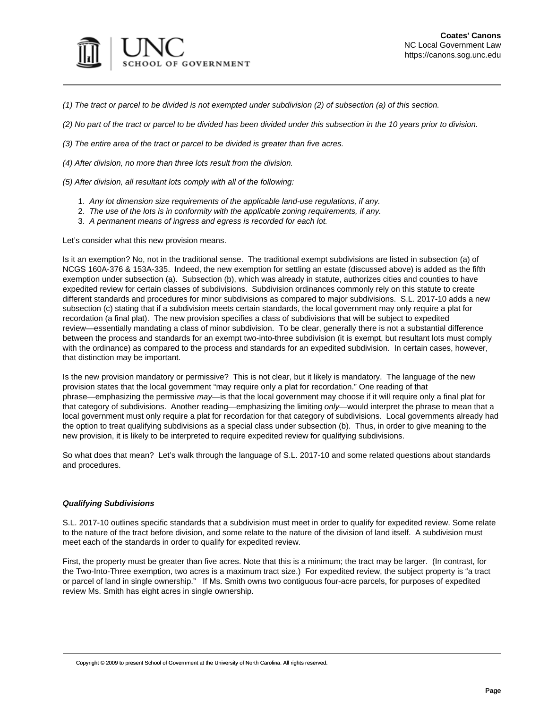

(1) The tract or parcel to be divided is not exempted under subdivision (2) of subsection (a) of this section.

(2) No part of the tract or parcel to be divided has been divided under this subsection in the 10 years prior to division.

(3) The entire area of the tract or parcel to be divided is greater than five acres.

(4) After division, no more than three lots result from the division.

(5) After division, all resultant lots comply with all of the following:

- 1. Any lot dimension size requirements of the applicable land-use regulations, if any.
- 2. The use of the lots is in conformity with the applicable zoning requirements, if any.
- 3. A permanent means of ingress and egress is recorded for each lot.

Let's consider what this new provision means.

Is it an exemption? No, not in the traditional sense. The traditional exempt subdivisions are listed in subsection (a) of NCGS 160A-376 & 153A-335. Indeed, the new exemption for settling an estate (discussed above) is added as the fifth exemption under subsection (a). Subsection (b), which was already in statute, authorizes cities and counties to have expedited review for certain classes of subdivisions. Subdivision ordinances commonly rely on this statute to create different standards and procedures for minor subdivisions as compared to major subdivisions. S.L. 2017-10 adds a new subsection (c) stating that if a subdivision meets certain standards, the local government may only require a plat for recordation (a final plat). The new provision specifies a class of subdivisions that will be subject to expedited review—essentially mandating a class of minor subdivision. To be clear, generally there is not a substantial difference between the process and standards for an exempt two-into-three subdivision (it is exempt, but resultant lots must comply with the ordinance) as compared to the process and standards for an expedited subdivision. In certain cases, however, that distinction may be important.

Is the new provision mandatory or permissive? This is not clear, but it likely is mandatory. The language of the new provision states that the local government "may require only a plat for recordation." One reading of that phrase—emphasizing the permissive may—is that the local government may choose if it will require only a final plat for that category of subdivisions. Another reading—emphasizing the limiting only—would interpret the phrase to mean that a local government must only require a plat for recordation for that category of subdivisions. Local governments already had the option to treat qualifying subdivisions as a special class under subsection (b). Thus, in order to give meaning to the new provision, it is likely to be interpreted to require expedited review for qualifying subdivisions.

So what does that mean? Let's walk through the language of S.L. 2017-10 and some related questions about standards and procedures.

### **Qualifying Subdivisions**

S.L. 2017-10 outlines specific standards that a subdivision must meet in order to qualify for expedited review. Some relate to the nature of the tract before division, and some relate to the nature of the division of land itself. A subdivision must meet each of the standards in order to qualify for expedited review.

First, the property must be greater than five acres. Note that this is a minimum; the tract may be larger. (In contrast, for the Two-Into-Three exemption, two acres is a maximum tract size.) For expedited review, the subject property is "a tract or parcel of land in single ownership." If Ms. Smith owns two contiguous four-acre parcels, for purposes of expedited review Ms. Smith has eight acres in single ownership.

Copyright © 2009 to present School of Government at the University of North Carolina. All rights reserved.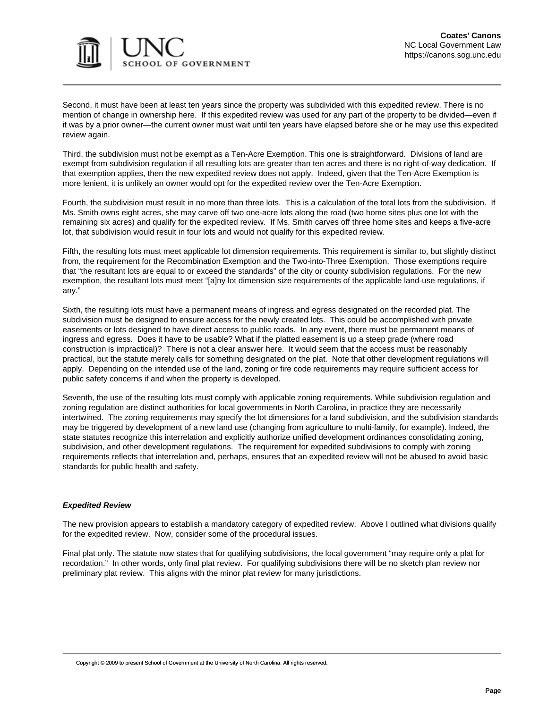

Second, it must have been at least ten years since the property was subdivided with this expedited review. There is no mention of change in ownership here. If this expedited review was used for any part of the property to be divided—even if it was by a prior owner—the current owner must wait until ten years have elapsed before she or he may use this expedited review again.

Third, the subdivision must not be exempt as a Ten-Acre Exemption. This one is straightforward. Divisions of land are exempt from subdivision regulation if all resulting lots are greater than ten acres and there is no right-of-way dedication. If that exemption applies, then the new expedited review does not apply. Indeed, given that the Ten-Acre Exemption is more lenient, it is unlikely an owner would opt for the expedited review over the Ten-Acre Exemption.

Fourth, the subdivision must result in no more than three lots. This is a calculation of the total lots from the subdivision. If Ms. Smith owns eight acres, she may carve off two one-acre lots along the road (two home sites plus one lot with the remaining six acres) and qualify for the expedited review. If Ms. Smith carves off three home sites and keeps a five-acre lot, that subdivision would result in four lots and would not qualify for this expedited review.

Fifth, the resulting lots must meet applicable lot dimension requirements. This requirement is similar to, but slightly distinct from, the requirement for the Recombination Exemption and the Two-into-Three Exemption. Those exemptions require that "the resultant lots are equal to or exceed the standards" of the city or county subdivision regulations. For the new exemption, the resultant lots must meet "[a]ny lot dimension size requirements of the applicable land-use regulations, if any."

Sixth, the resulting lots must have a permanent means of ingress and egress designated on the recorded plat. The subdivision must be designed to ensure access for the newly created lots. This could be accomplished with private easements or lots designed to have direct access to public roads. In any event, there must be permanent means of ingress and egress. Does it have to be usable? What if the platted easement is up a steep grade (where road construction is impractical)? There is not a clear answer here. It would seem that the access must be reasonably practical, but the statute merely calls for something designated on the plat. Note that other development regulations will apply. Depending on the intended use of the land, zoning or fire code requirements may require sufficient access for public safety concerns if and when the property is developed.

Seventh, the use of the resulting lots must comply with applicable zoning requirements. While subdivision regulation and zoning regulation are distinct authorities for local governments in North Carolina, in practice they are necessarily intertwined. The zoning requirements may specify the lot dimensions for a land subdivision, and the subdivision standards may be triggered by development of a new land use (changing from agriculture to multi-family, for example). Indeed, the state statutes recognize this interrelation and explicitly authorize unified development ordinances consolidating zoning, subdivision, and other development regulations. The requirement for expedited subdivisions to comply with zoning requirements reflects that interrelation and, perhaps, ensures that an expedited review will not be abused to avoid basic standards for public health and safety.

### **Expedited Review**

The new provision appears to establish a mandatory category of expedited review. Above I outlined what divisions qualify for the expedited review. Now, consider some of the procedural issues.

Final plat only. The statute now states that for qualifying subdivisions, the local government "may require only a plat for recordation." In other words, only final plat review. For qualifying subdivisions there will be no sketch plan review nor preliminary plat review. This aligns with the minor plat review for many jurisdictions.